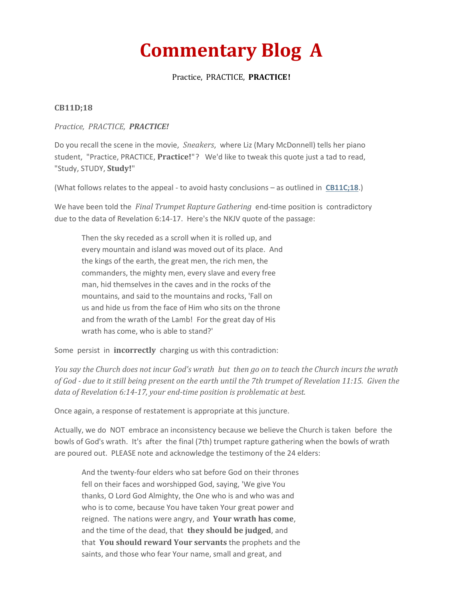# **Commentary Blog A**

### Practice, PRACTICE, **PRACTICE!**

#### **CB11D;18**

#### *Practice, PRACTICE, PRACTICE!*

Do you recall the scene in the movie, *Sneakers*, where Liz (Mary McDonnell) tells her piano student, "Practice, PRACTICE, **Practice!**"? We'd like to tweak this quote just a tad to read, "Study, STUDY, **Study!**"

(What follows relates to the appeal - to avoid hasty conclusions – as outlined in **[CB11C;18](http://www.truthfoundations.org/home/archived2018commentary.html)**.)

We have been told the *Final Trumpet Rapture Gathering* end-time position is contradictory due to the data of Revelation 6:14-17. Here's the NKJV quote of the passage:

Then the sky receded as a scroll when it is rolled up, and every mountain and island was moved out of its place. And the kings of the earth, the great men, the rich men, the commanders, the mighty men, every slave and every free man, hid themselves in the caves and in the rocks of the mountains, and said to the mountains and rocks, 'Fall on us and hide us from the face of Him who sits on the throne and from the wrath of the Lamb! For the great day of His wrath has come, who is able to stand?'

Some persist in **incorrectly** charging us with this contradiction:

*You say the Church does not incur God's wrath but then go on to teach the Church incurs the wrath of God - due to it still being present on the earth until the 7th trumpet of Revelation 11:15. Given the data of Revelation 6:14-17, your end-time position is problematic at best.* 

Once again, a response of restatement is appropriate at this juncture.

Actually, we do NOT embrace an inconsistency because we believe the Church is taken before the bowls of God's wrath. It's after the final (7th) trumpet rapture gathering when the bowls of wrath are poured out. PLEASE note and acknowledge the testimony of the 24 elders:

And the twenty-four elders who sat before God on their thrones fell on their faces and worshipped God, saying, 'We give You thanks, O Lord God Almighty, the One who is and who was and who is to come, because You have taken Your great power and reigned. The nations were angry, and **Your wrath has come**, and the time of the dead, that **they should be judged**, and that **You should reward Your servants** the prophets and the saints, and those who fear Your name, small and great, and